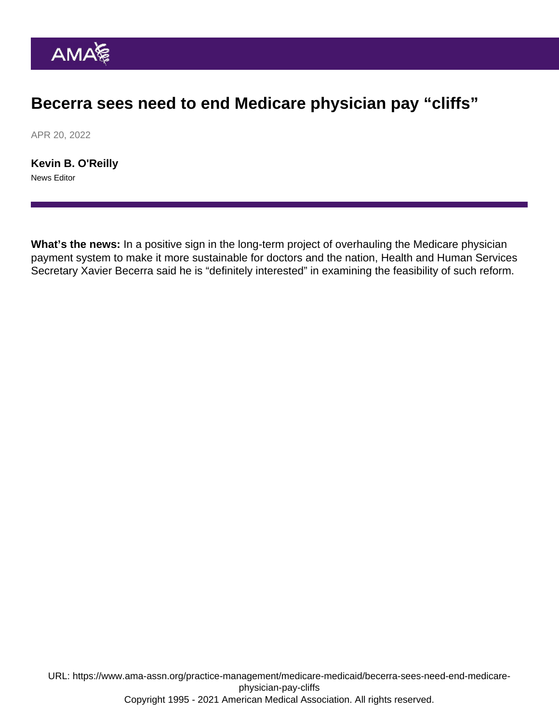## Becerra sees need to end Medicare physician pay "cliffs"

APR 20, 2022

[Kevin B. O'Reilly](https://www.ama-assn.org/news-leadership-viewpoints/authors-news-leadership-viewpoints/kevin-b-oreilly) News Editor

What's the news: In a positive sign in the long-term project of overhauling the Medicare physician payment system to make it more sustainable for doctors and the nation, Health and Human Services Secretary Xavier Becerra said he is "definitely interested" in examining the feasibility of such reform.

URL: [https://www.ama-assn.org/practice-management/medicare-medicaid/becerra-sees-need-end-medicare](https://www.ama-assn.org/practice-management/medicare-medicaid/becerra-sees-need-end-medicare-physician-pay-cliffs)[physician-pay-cliffs](https://www.ama-assn.org/practice-management/medicare-medicaid/becerra-sees-need-end-medicare-physician-pay-cliffs) Copyright 1995 - 2021 American Medical Association. All rights reserved.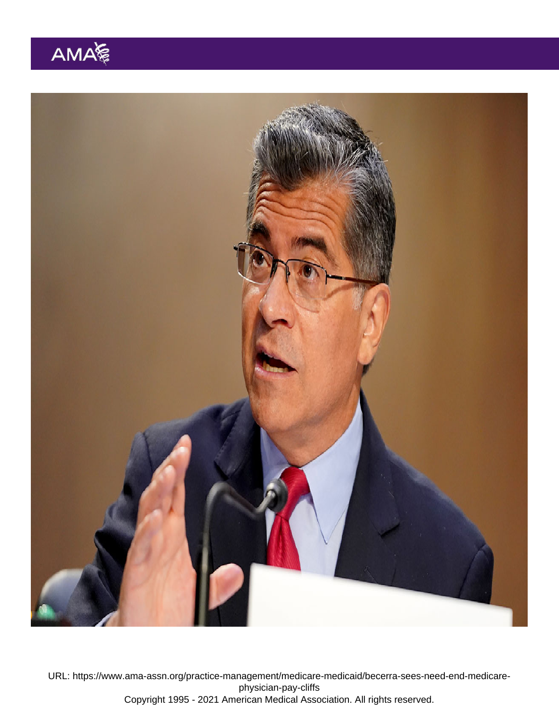URL: [https://www.ama-assn.org/practice-management/medicare-medicaid/becerra-sees-need-end-medicare](https://www.ama-assn.org/practice-management/medicare-medicaid/becerra-sees-need-end-medicare-physician-pay-cliffs)[physician-pay-cliffs](https://www.ama-assn.org/practice-management/medicare-medicaid/becerra-sees-need-end-medicare-physician-pay-cliffs) Copyright 1995 - 2021 American Medical Association. All rights reserved.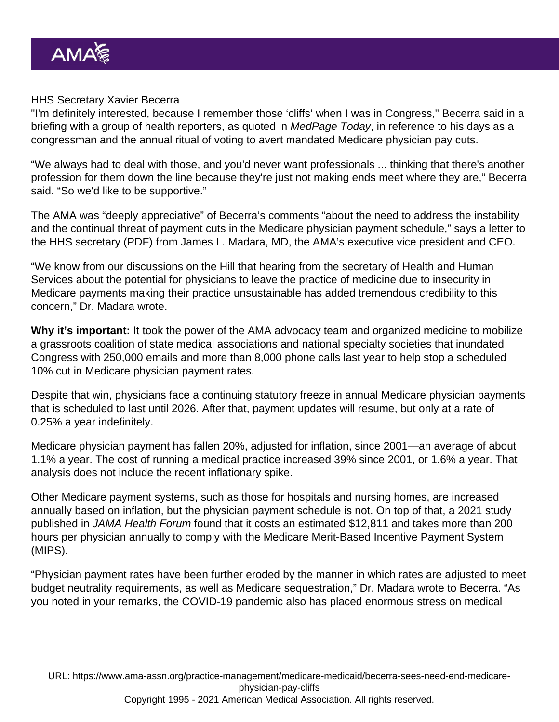## HHS Secretary Xavier Becerra

"I'm definitely interested, because I remember those 'cliffs' when I was in Congress," Becerra said in a briefing with a group of health reporters, as quoted in MedPage Today, in reference to his days as a congressman and the annual ritual of voting to avert mandated Medicare physician pay cuts.

"We always had to deal with those, and you'd never want professionals ... thinking that there's another profession for them down the line because they're just not making ends meet where they are," Becerra said. "So we'd like to be supportive."

The AMA was "deeply appreciative" of Becerra's comments "about the need to address the instability and the continual threat of payment cuts in the Medicare physician payment schedule," [says a letter to](https://searchlf.ama-assn.org/letter/documentDownload?uri=/unstructured/binary/letter/LETTERS/2022-3-30-Letter-to-Becerra-re-Medicare-Pay-v4.pdf) [the HHS secretary](https://searchlf.ama-assn.org/letter/documentDownload?uri=/unstructured/binary/letter/LETTERS/2022-3-30-Letter-to-Becerra-re-Medicare-Pay-v4.pdf) (PDF) from [James L. Madara, MD](https://www.ama-assn.org/news-leadership-viewpoints/authors-news-leadership-viewpoints/james-l-madara-md), the AMA's executive vice president and CEO.

"We know from our discussions on the Hill that hearing from the secretary of Health and Human Services about the potential for physicians to leave the practice of medicine due to insecurity in Medicare payments making their practice unsustainable has added tremendous credibility to this concern," Dr. Madara wrote.

Why it's important: It took the power of the AMA advocacy team and organized medicine to mobilize a grassroots coalition of state medical associations and national specialty societies that inundated Congress with 250,000 emails and more than 8,000 phone calls last year to help stop a scheduled 10% cut in Medicare physician payment rates.

Despite that win, physicians face a continuing statutory freeze in annual Medicare physician payments that is scheduled to last until 2026. After that, payment updates will resume, but only at a rate of 0.25% a year indefinitely.

Medicare physician payment has fallen 20%, adjusted for inflation, since 2001—an average of about 1.1% a year. The cost of running a medical practice increased 39% since 2001, or 1.6% a year. That analysis does not include the recent inflationary spike.

Other Medicare payment systems, such as those for hospitals and nursing homes, are increased annually based on inflation, but the physician payment schedule is not. On top of that, a [2021 study](https://jamanetwork.com/journals/jama-health-forum/fullarticle/2779947) [published in JAMA Health Forum](https://jamanetwork.com/journals/jama-health-forum/fullarticle/2779947) found that it costs an estimated \$12,811 and takes more than 200 hours per physician annually to comply with the Medicare [Merit-Based Incentive Payment System](https://www.ama-assn.org/practice-management/payment-delivery-models/understanding-medicare-s-merit-based-incentive-payment) (MIPS).

"Physician payment rates have been further eroded by the manner in which rates are adjusted to meet budget neutrality requirements, as well as Medicare sequestration," Dr. Madara wrote to Becerra. "As you noted in your remarks, the COVID-19 pandemic also has placed enormous stress on medical

URL: [https://www.ama-assn.org/practice-management/medicare-medicaid/becerra-sees-need-end-medicare](https://www.ama-assn.org/practice-management/medicare-medicaid/becerra-sees-need-end-medicare-physician-pay-cliffs)[physician-pay-cliffs](https://www.ama-assn.org/practice-management/medicare-medicaid/becerra-sees-need-end-medicare-physician-pay-cliffs) Copyright 1995 - 2021 American Medical Association. All rights reserved.